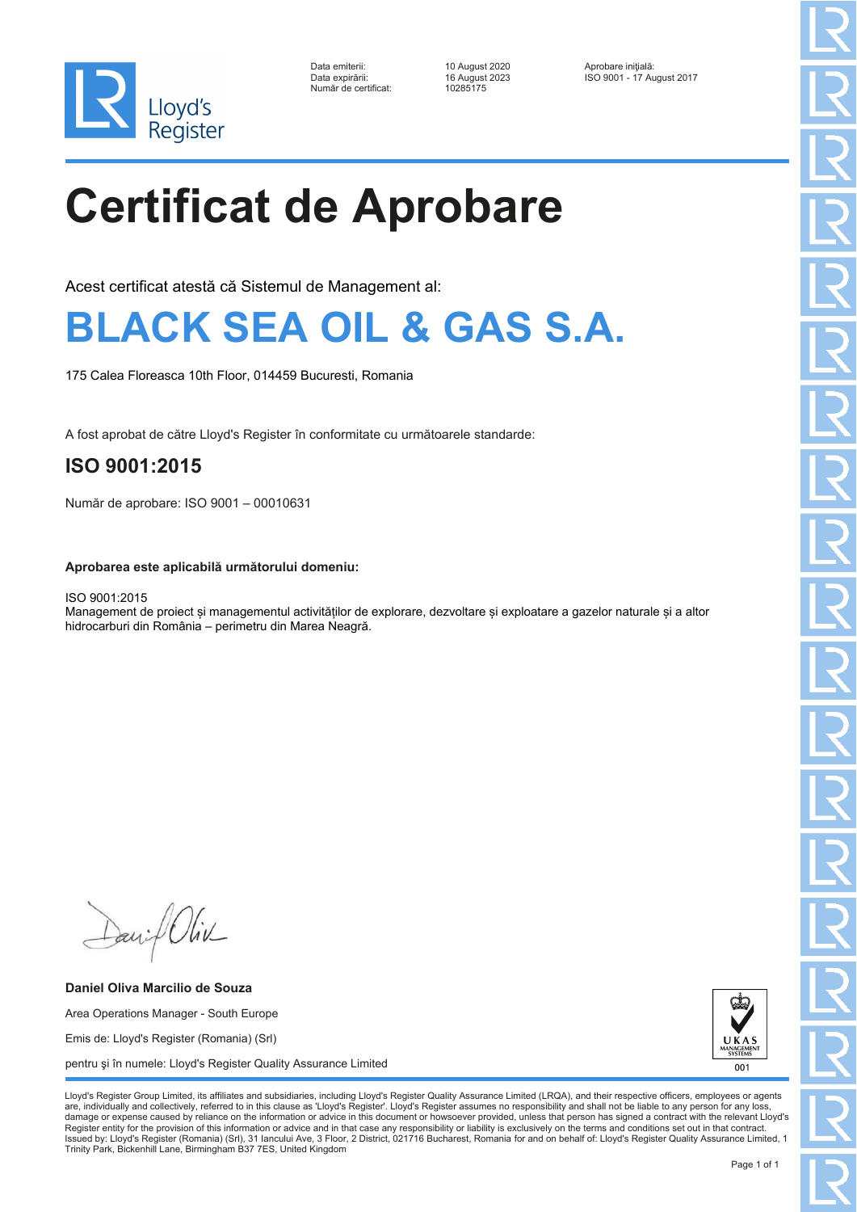

Data emiterii: 10 August 2020 Aprobare inițială:<br>10 August 2023 1900 10 - 17 August 2023 Număr de certificat:

Data expirării: 16 August 2023 ISO 9001 - 17 August 2017

## **Certificat de Aprobare**

Acest certificat atestă că Sistemul de Management al:

## **BLACK SEA OIL & GAS S.A.**

175 Calea Floreasca 10th Floor, 014459 Bucuresti, Romania

A fost aprobat de către Lloyd's Register în conformitate cu următoarele standarde:

#### **ISO 9001:2015**

Număr de aprobare: ISO 9001 – 00010631

**Aprobarea este aplicabilă următorului domeniu:**

ISO 9001:2015 Management de proiect și managementul activităților de explorare, dezvoltare și exploatare a gazelor naturale și a altor hidrocarburi din România – perimetru din Marea Neagră.

Daniel Oliv

**Daniel Oliva Marcilio de Souza** Area Operations Manager - South Europe Emis de: Lloyd's Register (Romania) (Srl) pentru şi în numele: Lloyd's Register Quality Assurance Limited



Lloyd's Register Group Limited, its affiliates and subsidiaries, including Lloyd's Register Quality Assurance Limited (LRQA), and their respective officers, employees or agents are, individually and collectively, referred to in this clause as 'Lloyd's Register'. Lloyd's Register assumes no responsibility and shall not be liable to any person for any los damage or expense caused by reliance on the information or advice in this document or howsoever provided, unless that person has signed a contract with the relevant Lloyd's<br>Register entity for the provision of this informa Issued by: Lloyd's Register (Romania) (Srl), 31 Iancului Ave, 3 Floor, 2 District, 021716 Bucharest, Romania for and on behalf of: Lloyd's Register Quality Assurance Limited, 1 Trinity Park, Bickenhill Lane, Birmingham B37 7ES, United Kingdom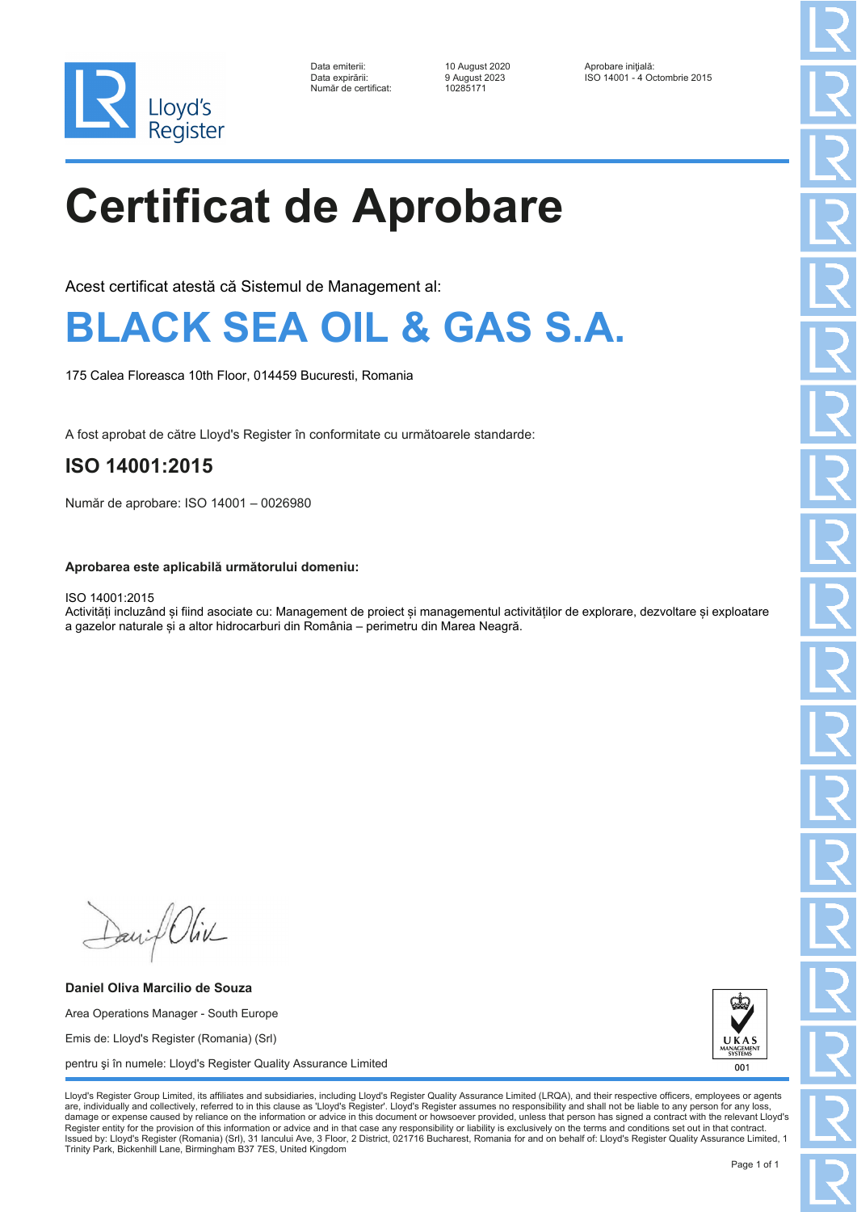

Data emiterii: 10 August 2020 Aprobare inițială:<br>10 August 2023 1980 14001 - 4 Or Număr de certificat:

9 August 2023 ISO 14001 - 4 Octombrie 2015<br>10285171

# **Certificat de Aprobare**

Acest certificat atestă că Sistemul de Management al:

## **BLACK SEA OIL & GAS S.A.**

175 Calea Floreasca 10th Floor, 014459 Bucuresti, Romania

A fost aprobat de către Lloyd's Register în conformitate cu următoarele standarde:

### **ISO 14001:2015**

Număr de aprobare: ISO 14001 – 0026980

**Aprobarea este aplicabilă următorului domeniu:**

ISO 14001:2015

Activități incluzând și fiind asociate cu: Management de proiect și managementul activităților de explorare, dezvoltare și exploatare a gazelor naturale și a altor hidrocarburi din România – perimetru din Marea Neagră.

Daniel Oliv

**Daniel Oliva Marcilio de Souza** Area Operations Manager - South Europe Emis de: Lloyd's Register (Romania) (Srl) pentru şi în numele: Lloyd's Register Quality Assurance Limited



Lloyd's Register Group Limited, its affiliates and subsidiaries, including Lloyd's Register Quality Assurance Limited (LRQA), and their respective officers, employees or agents are, individually and collectively, referred to in this clause as 'Lloyd's Register'. Lloyd's Register assumes no responsibility and shall not be liable to any person for any los damage or expense caused by reliance on the information or advice in this document or howsoever provided, unless that person has signed a contract with the relevant Lloyd's<br>Register entity for the provision of this informa Issued by: Lloyd's Register (Romania) (Srl), 31 Iancului Ave, 3 Floor, 2 District, 021716 Bucharest, Romania for and on behalf of: Lloyd's Register Quality Assurance Limited, 1 Trinity Park, Bickenhill Lane, Birmingham B37 7ES, United Kingdom